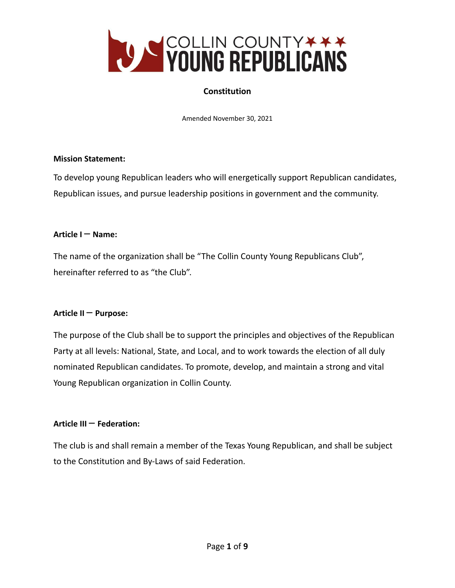

# **Constitution**

Amended November 30, 2021

## **Mission Statement:**

To develop young Republican leaders who will energetically support Republican candidates, Republican issues, and pursue leadership positions in government and the community.

#### **Article I** – **Name:**

The name of the organization shall be "The Collin County Young Republicans Club", hereinafter referred to as "the Club".

## **Article II** – **Purpose:**

The purpose of the Club shall be to support the principles and objectives of the Republican Party at all levels: National, State, and Local, and to work towards the election of all duly nominated Republican candidates. To promote, develop, and maintain a strong and vital Young Republican organization in Collin County.

## **Article III** – **Federation:**

The club is and shall remain a member of the Texas Young Republican, and shall be subject to the Constitution and By-Laws of said Federation.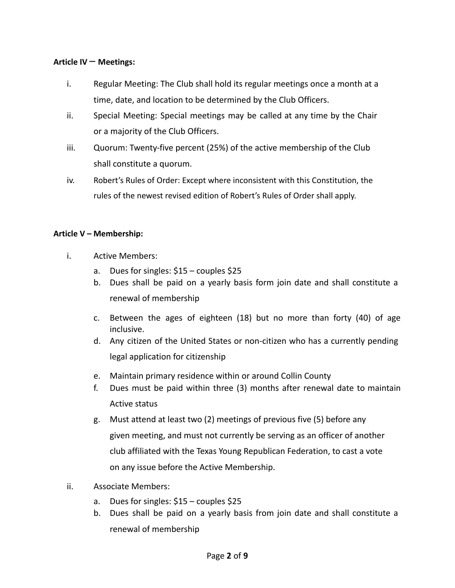#### **Article IV** – **Meetings:**

- i. Regular Meeting: The Club shall hold its regular meetings once a month at a time, date, and location to be determined by the Club Officers.
- ii. Special Meeting: Special meetings may be called at any time by the Chair or a majority of the Club Officers.
- iii. Quorum: Twenty-five percent (25%) of the active membership of the Club shall constitute a quorum.
- iv. Robert's Rules of Order: Except where inconsistent with this Constitution, the rules of the newest revised edition of Robert's Rules of Order shall apply.

#### **Article V – Membership:**

- i. Active Members:
	- a. Dues for singles: \$15 couples \$25
	- b. Dues shall be paid on a yearly basis form join date and shall constitute a renewal of membership
	- c. Between the ages of eighteen (18) but no more than forty (40) of age inclusive.
	- d. Any citizen of the United States or non-citizen who has a currently pending legal application for citizenship
	- e. Maintain primary residence within or around Collin County
	- f. Dues must be paid within three (3) months after renewal date to maintain Active status
	- g. Must attend at least two (2) meetings of previous five (5) before any given meeting, and must not currently be serving as an officer of another club affiliated with the Texas Young Republican Federation, to cast a vote on any issue before the Active Membership.
- ii. Associate Members:
	- a. Dues for singles: \$15 couples \$25
	- b. Dues shall be paid on a yearly basis from join date and shall constitute a renewal of membership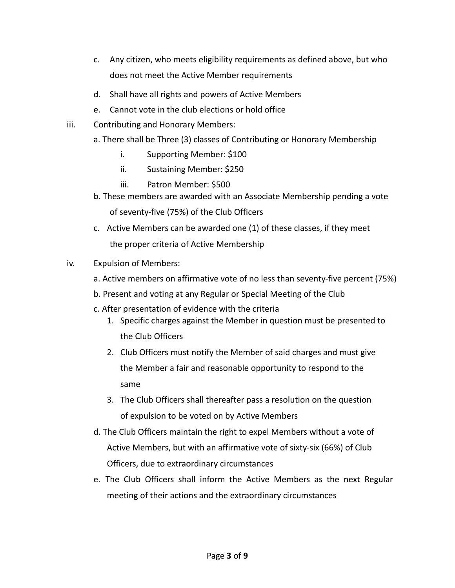- c. Any citizen, who meets eligibility requirements as defined above, but who does not meet the Active Member requirements
- d. Shall have all rights and powers of Active Members
- e. Cannot vote in the club elections or hold office
- iii. Contributing and Honorary Members:
	- a. There shall be Three (3) classes of Contributing or Honorary Membership
		- i. Supporting Member: \$100
		- ii. Sustaining Member: \$250
		- iii. Patron Member: \$500
	- b. These members are awarded with an Associate Membership pending a vote of seventy-five (75%) of the Club Officers
	- c. Active Members can be awarded one (1) of these classes, if they meet the proper criteria of Active Membership
- iv. Expulsion of Members:
	- a. Active members on affirmative vote of no less than seventy-five percent (75%)
	- b. Present and voting at any Regular or Special Meeting of the Club
	- c. After presentation of evidence with the criteria
		- 1. Specific charges against the Member in question must be presented to the Club Officers
		- 2. Club Officers must notify the Member of said charges and must give the Member a fair and reasonable opportunity to respond to the same
		- 3. The Club Officers shall thereafter pass a resolution on the question of expulsion to be voted on by Active Members
	- d. The Club Officers maintain the right to expel Members without a vote of Active Members, but with an affirmative vote of sixty-six (66%) of Club Officers, due to extraordinary circumstances
	- e. The Club Officers shall inform the Active Members as the next Regular meeting of their actions and the extraordinary circumstances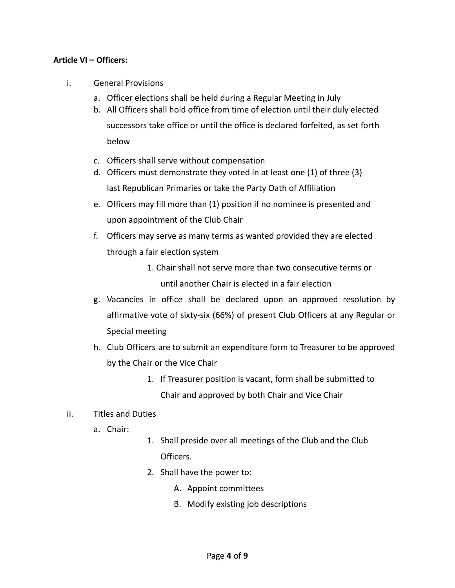#### **Article VI – Officers:**

- i. General Provisions
	- a. Officer elections shall be held during a Regular Meeting in July
	- b. All Officers shall hold office from time of election until their duly elected successors take office or until the office is declared forfeited, as set forth below
	- c. Officers shall serve without compensation
	- d. Officers must demonstrate they voted in at least one (1) of three (3) last Republican Primaries or take the Party Oath of Affiliation
	- e. Officers may fill more than (1) position if no nominee is presented and upon appointment of the Club Chair
	- f. Officers may serve as many terms as wanted provided they are elected through a fair election system
		- 1. Chair shall not serve more than two consecutive terms or until another Chair is elected in a fair election
	- g. Vacancies in office shall be declared upon an approved resolution by affirmative vote of sixty-six (66%) of present Club Officers at any Regular or Special meeting
	- h. Club Officers are to submit an expenditure form to Treasurer to be approved by the Chair or the Vice Chair
		- 1. If Treasurer position is vacant, form shall be submitted to Chair and approved by both Chair and Vice Chair
- ii. Titles and Duties
	- a. Chair:
- 1. Shall preside over all meetings of the Club and the Club Officers.
- 2. Shall have the power to:
	- A. Appoint committees
	- B. Modify existing job descriptions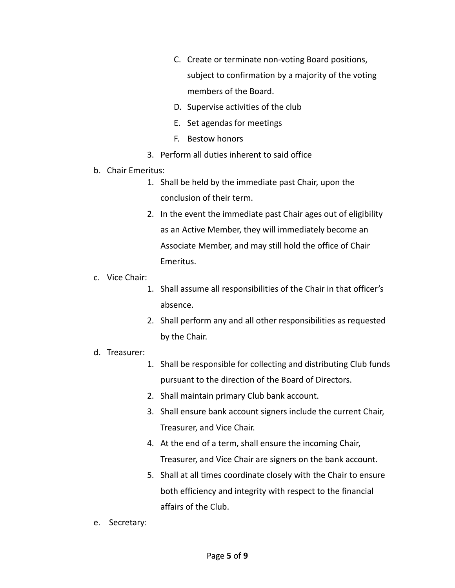- C. Create or terminate non-voting Board positions, subject to confirmation by a majority of the voting members of the Board.
- D. Supervise activities of the club
- E. Set agendas for meetings
- F. Bestow honors
- 3. Perform all duties inherent to said office
- b. Chair Emeritus:
	- 1. Shall be held by the immediate past Chair, upon the conclusion of their term.
	- 2. In the event the immediate past Chair ages out of eligibility as an Active Member, they will immediately become an Associate Member, and may still hold the office of Chair Emeritus.
- c. Vice Chair:
	- 1. Shall assume all responsibilities of the Chair in that officer's absence.
	- 2. Shall perform any and all other responsibilities as requested by the Chair.
- d. Treasurer:
	- 1. Shall be responsible for collecting and distributing Club funds pursuant to the direction of the Board of Directors.
	- 2. Shall maintain primary Club bank account.
	- 3. Shall ensure bank account signers include the current Chair, Treasurer, and Vice Chair.
	- 4. At the end of a term, shall ensure the incoming Chair, Treasurer, and Vice Chair are signers on the bank account.
	- 5. Shall at all times coordinate closely with the Chair to ensure both efficiency and integrity with respect to the financial affairs of the Club.
- e. Secretary: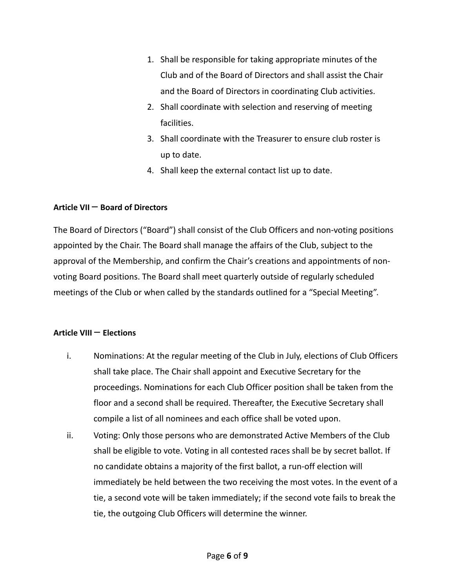- 1. Shall be responsible for taking appropriate minutes of the Club and of the Board of Directors and shall assist the Chair and the Board of Directors in coordinating Club activities.
- 2. Shall coordinate with selection and reserving of meeting facilities.
- 3. Shall coordinate with the Treasurer to ensure club roster is up to date.
- 4. Shall keep the external contact list up to date.

# **Article VII** – **Board of Directors**

The Board of Directors ("Board") shall consist of the Club Officers and non-voting positions appointed by the Chair. The Board shall manage the affairs of the Club, subject to the approval of the Membership, and confirm the Chair's creations and appointments of nonvoting Board positions. The Board shall meet quarterly outside of regularly scheduled meetings of the Club or when called by the standards outlined for a "Special Meeting".

# **Article VIII** – **Elections**

- i. Nominations: At the regular meeting of the Club in July, elections of Club Officers shall take place. The Chair shall appoint and Executive Secretary for the proceedings. Nominations for each Club Officer position shall be taken from the floor and a second shall be required. Thereafter, the Executive Secretary shall compile a list of all nominees and each office shall be voted upon.
- ii. Voting: Only those persons who are demonstrated Active Members of the Club shall be eligible to vote. Voting in all contested races shall be by secret ballot. If no candidate obtains a majority of the first ballot, a run-off election will immediately be held between the two receiving the most votes. In the event of a tie, a second vote will be taken immediately; if the second vote fails to break the tie, the outgoing Club Officers will determine the winner.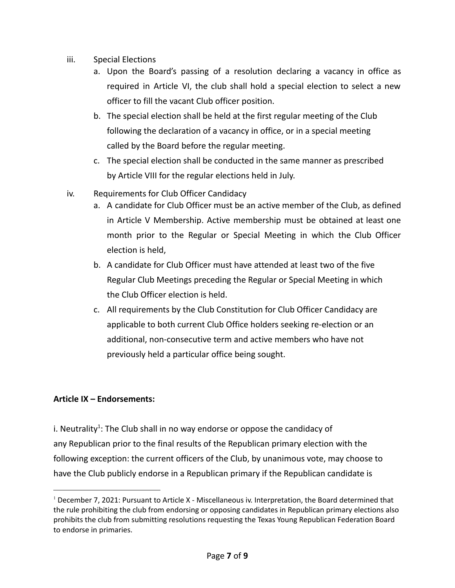- iii. Special Elections
	- a. Upon the Board's passing of a resolution declaring a vacancy in office as required in Article VI, the club shall hold a special election to select a new officer to fill the vacant Club officer position.
	- b. The special election shall be held at the first regular meeting of the Club following the declaration of a vacancy in office, or in a special meeting called by the Board before the regular meeting.
	- c. The special election shall be conducted in the same manner as prescribed by Article VIII for the regular elections held in July.
- iv. Requirements for Club Officer Candidacy
	- a. A candidate for Club Officer must be an active member of the Club, as defined in Article V Membership. Active membership must be obtained at least one month prior to the Regular or Special Meeting in which the Club Officer election is held,
	- b. A candidate for Club Officer must have attended at least two of the five Regular Club Meetings preceding the Regular or Special Meeting in which the Club Officer election is held.
	- c. All requirements by the Club Constitution for Club Officer Candidacy are applicable to both current Club Office holders seeking re-election or an additional, non-consecutive term and active members who have not previously held a particular office being sought.

## **Article IX – Endorsements:**

i. Neutrality<sup>1</sup>: The Club shall in no way endorse or oppose the candidacy of any Republican prior to the final results of the Republican primary election with the following exception: the current officers of the Club, by unanimous vote, may choose to have the Club publicly endorse in a Republican primary if the Republican candidate is

<sup>1</sup> December 7, 2021: Pursuant to Article X - Miscellaneous iv. Interpretation, the Board determined that the rule prohibiting the club from endorsing or opposing candidates in Republican primary elections also prohibits the club from submitting resolutions requesting the Texas Young Republican Federation Board to endorse in primaries.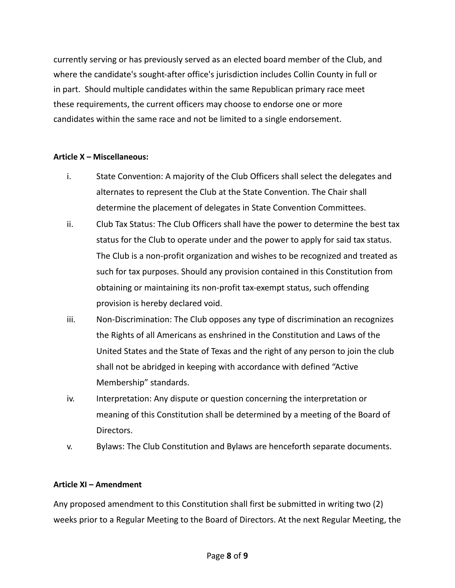currently serving or has previously served as an elected board member of the Club, and where the candidate's sought-after office's jurisdiction includes Collin County in full or in part. Should multiple candidates within the same Republican primary race meet these requirements, the current officers may choose to endorse one or more candidates within the same race and not be limited to a single endorsement.

## **Article X – Miscellaneous:**

- i. State Convention: A majority of the Club Officers shall select the delegates and alternates to represent the Club at the State Convention. The Chair shall determine the placement of delegates in State Convention Committees.
- ii. Club Tax Status: The Club Officers shall have the power to determine the best tax status for the Club to operate under and the power to apply for said tax status. The Club is a non-profit organization and wishes to be recognized and treated as such for tax purposes. Should any provision contained in this Constitution from obtaining or maintaining its non-profit tax-exempt status, such offending provision is hereby declared void.
- iii. Non-Discrimination: The Club opposes any type of discrimination an recognizes the Rights of all Americans as enshrined in the Constitution and Laws of the United States and the State of Texas and the right of any person to join the club shall not be abridged in keeping with accordance with defined "Active Membership" standards.
- iv. Interpretation: Any dispute or question concerning the interpretation or meaning of this Constitution shall be determined by a meeting of the Board of Directors.
- v. Bylaws: The Club Constitution and Bylaws are henceforth separate documents.

## **Article XI – Amendment**

Any proposed amendment to this Constitution shall first be submitted in writing two (2) weeks prior to a Regular Meeting to the Board of Directors. At the next Regular Meeting, the